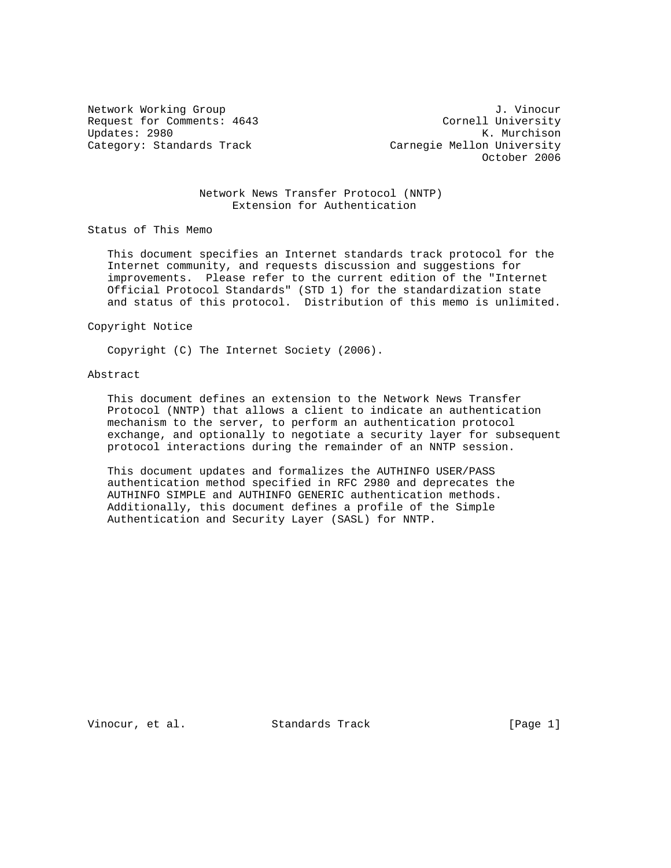Request for Comments: 4643 Cornell University Updates: 2980 K. Murchison Category: Standards Track Carnegie Mellon University

Network Working Group J. Vinocur October 2006

### Network News Transfer Protocol (NNTP) Extension for Authentication

Status of This Memo

 This document specifies an Internet standards track protocol for the Internet community, and requests discussion and suggestions for improvements. Please refer to the current edition of the "Internet Official Protocol Standards" (STD 1) for the standardization state and status of this protocol. Distribution of this memo is unlimited.

Copyright Notice

Copyright (C) The Internet Society (2006).

# Abstract

 This document defines an extension to the Network News Transfer Protocol (NNTP) that allows a client to indicate an authentication mechanism to the server, to perform an authentication protocol exchange, and optionally to negotiate a security layer for subsequent protocol interactions during the remainder of an NNTP session.

 This document updates and formalizes the AUTHINFO USER/PASS authentication method specified in RFC 2980 and deprecates the AUTHINFO SIMPLE and AUTHINFO GENERIC authentication methods. Additionally, this document defines a profile of the Simple Authentication and Security Layer (SASL) for NNTP.

Vinocur, et al. Standards Track [Page 1]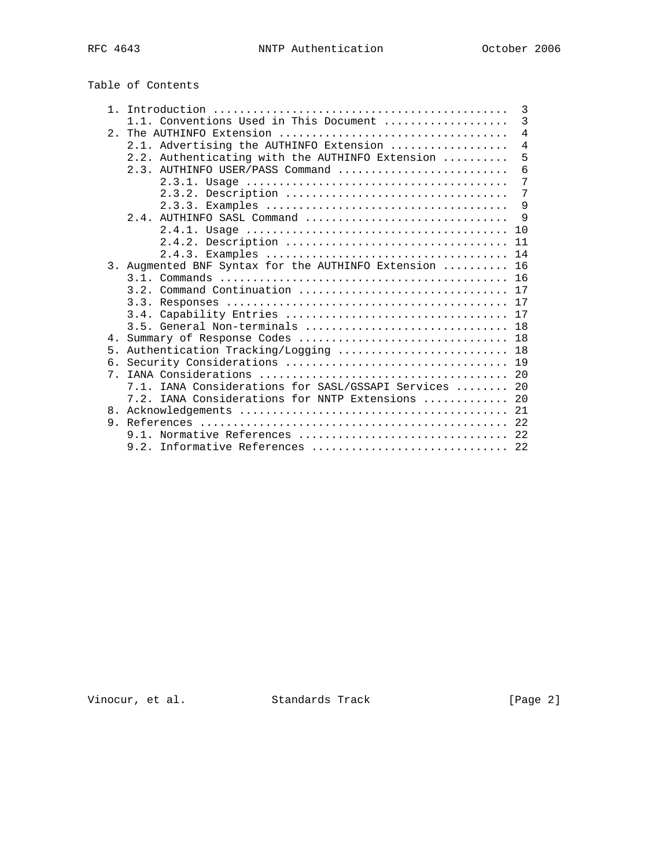| Table of Contents |
|-------------------|
|-------------------|

| $1$ .          |                                                    | 3              |
|----------------|----------------------------------------------------|----------------|
|                | 1.1. Conventions Used in This Document             | $\overline{3}$ |
| 2 <sup>1</sup> |                                                    | $\overline{4}$ |
|                | 2.1. Advertising the AUTHINFO Extension            | 4              |
|                | 2.2. Authenticating with the AUTHINFO Extension    | 5              |
|                | $2.3.$ AUTHINFO USER/PASS Command                  | 6              |
|                |                                                    | $\overline{7}$ |
|                | 2.3.2. Description                                 | 7              |
|                |                                                    | 9              |
|                | $2.4.$ AUTHINFO SASL Command                       | 9              |
|                |                                                    | 10             |
|                | 2.4.2. Description                                 | 11             |
|                |                                                    | 14             |
|                | 3. Augmented BNF Syntax for the AUTHINFO Extension | 16             |
|                |                                                    | 16             |
|                | 3.2. Command Continuation                          | 17             |
|                | 3.3.                                               | 17             |
|                |                                                    |                |
|                | 3.5. General Non-terminals  18                     |                |
| 4 <sub>1</sub> |                                                    |                |
| 5 <sub>1</sub> | Authentication Tracking/Logging  18                |                |
| б.             |                                                    | 19             |
| 7 <sub>1</sub> |                                                    | 2.0            |
|                | 7.1. IANA Considerations for SASL/GSSAPI Services  | 20             |
|                | 7.2. IANA Considerations for NNTP Extensions       | 20             |
|                |                                                    | 21             |
| 9.             |                                                    |                |
|                | 9.1. Normative References                          | 22             |
|                | 9.2. Informative References                        | 22             |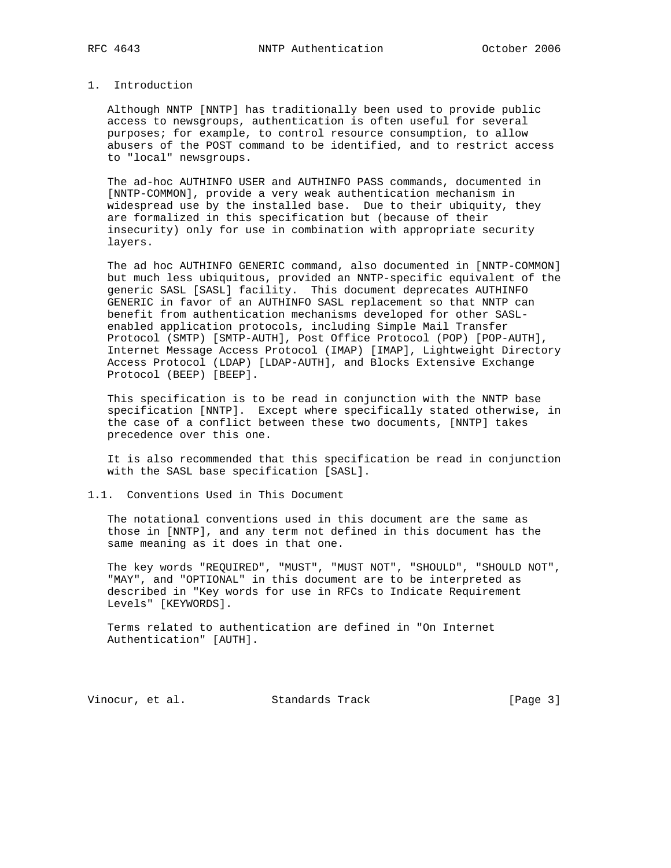### 1. Introduction

 Although NNTP [NNTP] has traditionally been used to provide public access to newsgroups, authentication is often useful for several purposes; for example, to control resource consumption, to allow abusers of the POST command to be identified, and to restrict access to "local" newsgroups.

 The ad-hoc AUTHINFO USER and AUTHINFO PASS commands, documented in [NNTP-COMMON], provide a very weak authentication mechanism in widespread use by the installed base. Due to their ubiquity, they are formalized in this specification but (because of their insecurity) only for use in combination with appropriate security layers.

 The ad hoc AUTHINFO GENERIC command, also documented in [NNTP-COMMON] but much less ubiquitous, provided an NNTP-specific equivalent of the generic SASL [SASL] facility. This document deprecates AUTHINFO GENERIC in favor of an AUTHINFO SASL replacement so that NNTP can benefit from authentication mechanisms developed for other SASL enabled application protocols, including Simple Mail Transfer Protocol (SMTP) [SMTP-AUTH], Post Office Protocol (POP) [POP-AUTH], Internet Message Access Protocol (IMAP) [IMAP], Lightweight Directory Access Protocol (LDAP) [LDAP-AUTH], and Blocks Extensive Exchange Protocol (BEEP) [BEEP].

 This specification is to be read in conjunction with the NNTP base specification [NNTP]. Except where specifically stated otherwise, in the case of a conflict between these two documents, [NNTP] takes precedence over this one.

 It is also recommended that this specification be read in conjunction with the SASL base specification [SASL].

### 1.1. Conventions Used in This Document

 The notational conventions used in this document are the same as those in [NNTP], and any term not defined in this document has the same meaning as it does in that one.

 The key words "REQUIRED", "MUST", "MUST NOT", "SHOULD", "SHOULD NOT", "MAY", and "OPTIONAL" in this document are to be interpreted as described in "Key words for use in RFCs to Indicate Requirement Levels" [KEYWORDS].

 Terms related to authentication are defined in "On Internet Authentication" [AUTH].

Vinocur, et al. Standards Track [Page 3]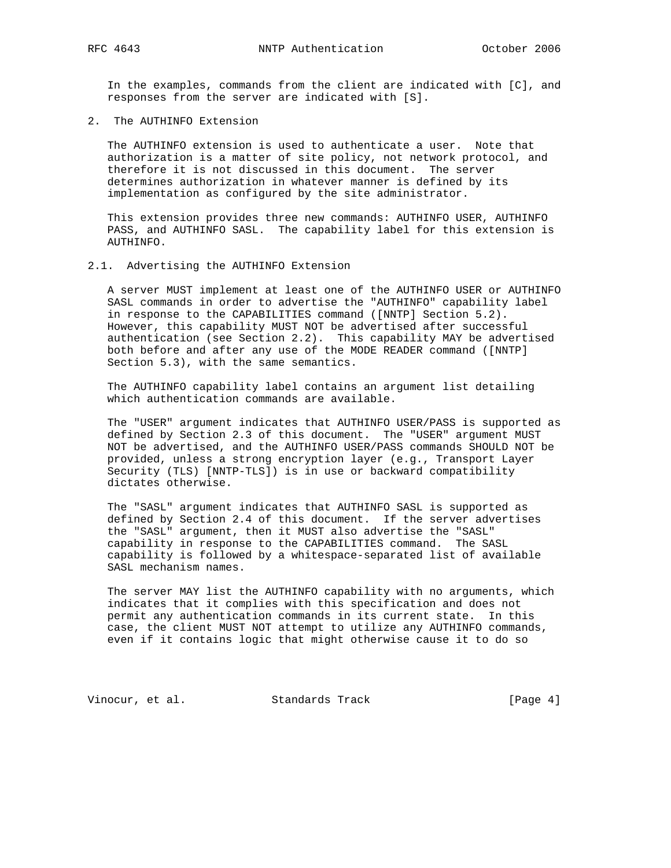In the examples, commands from the client are indicated with [C], and responses from the server are indicated with [S].

2. The AUTHINFO Extension

 The AUTHINFO extension is used to authenticate a user. Note that authorization is a matter of site policy, not network protocol, and therefore it is not discussed in this document. The server determines authorization in whatever manner is defined by its implementation as configured by the site administrator.

 This extension provides three new commands: AUTHINFO USER, AUTHINFO PASS, and AUTHINFO SASL. The capability label for this extension is AUTHINFO.

#### 2.1. Advertising the AUTHINFO Extension

 A server MUST implement at least one of the AUTHINFO USER or AUTHINFO SASL commands in order to advertise the "AUTHINFO" capability label in response to the CAPABILITIES command ([NNTP] Section 5.2). However, this capability MUST NOT be advertised after successful authentication (see Section 2.2). This capability MAY be advertised both before and after any use of the MODE READER command ([NNTP] Section 5.3), with the same semantics.

 The AUTHINFO capability label contains an argument list detailing which authentication commands are available.

 The "USER" argument indicates that AUTHINFO USER/PASS is supported as defined by Section 2.3 of this document. The "USER" argument MUST NOT be advertised, and the AUTHINFO USER/PASS commands SHOULD NOT be provided, unless a strong encryption layer (e.g., Transport Layer Security (TLS) [NNTP-TLS]) is in use or backward compatibility dictates otherwise.

 The "SASL" argument indicates that AUTHINFO SASL is supported as defined by Section 2.4 of this document. If the server advertises the "SASL" argument, then it MUST also advertise the "SASL" capability in response to the CAPABILITIES command. The SASL capability is followed by a whitespace-separated list of available SASL mechanism names.

 The server MAY list the AUTHINFO capability with no arguments, which indicates that it complies with this specification and does not permit any authentication commands in its current state. In this case, the client MUST NOT attempt to utilize any AUTHINFO commands, even if it contains logic that might otherwise cause it to do so

Vinocur, et al. Standards Track [Page 4]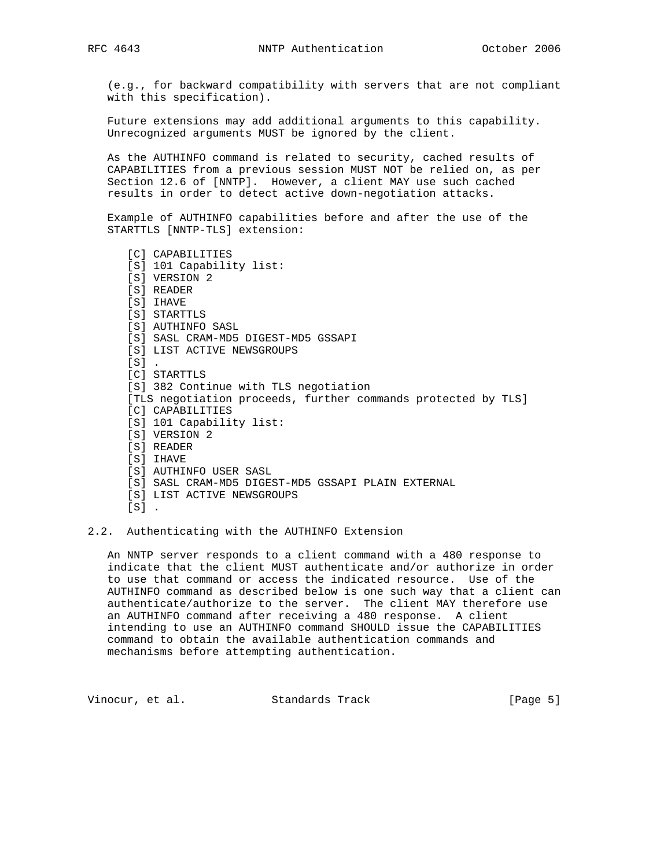(e.g., for backward compatibility with servers that are not compliant with this specification).

 Future extensions may add additional arguments to this capability. Unrecognized arguments MUST be ignored by the client.

 As the AUTHINFO command is related to security, cached results of CAPABILITIES from a previous session MUST NOT be relied on, as per Section 12.6 of [NNTP]. However, a client MAY use such cached results in order to detect active down-negotiation attacks.

 Example of AUTHINFO capabilities before and after the use of the STARTTLS [NNTP-TLS] extension:

 [C] CAPABILITIES [S] 101 Capability list: [S] VERSION 2 [S] READER [S] IHAVE [S] STARTTLS [S] AUTHINFO SASL [S] SASL CRAM-MD5 DIGEST-MD5 GSSAPI [S] LIST ACTIVE NEWSGROUPS  $[s]$ . [C] STARTTLS [S] 382 Continue with TLS negotiation [TLS negotiation proceeds, further commands protected by TLS] [C] CAPABILITIES [S] 101 Capability list: [S] VERSION 2 [S] READER [S] IHAVE [S] AUTHINFO USER SASL [S] SASL CRAM-MD5 DIGEST-MD5 GSSAPI PLAIN EXTERNAL [S] LIST ACTIVE NEWSGROUPS  $[S]$ .

#### 2.2. Authenticating with the AUTHINFO Extension

 An NNTP server responds to a client command with a 480 response to indicate that the client MUST authenticate and/or authorize in order to use that command or access the indicated resource. Use of the AUTHINFO command as described below is one such way that a client can authenticate/authorize to the server. The client MAY therefore use an AUTHINFO command after receiving a 480 response. A client intending to use an AUTHINFO command SHOULD issue the CAPABILITIES command to obtain the available authentication commands and mechanisms before attempting authentication.

Vinocur, et al. Standards Track [Page 5]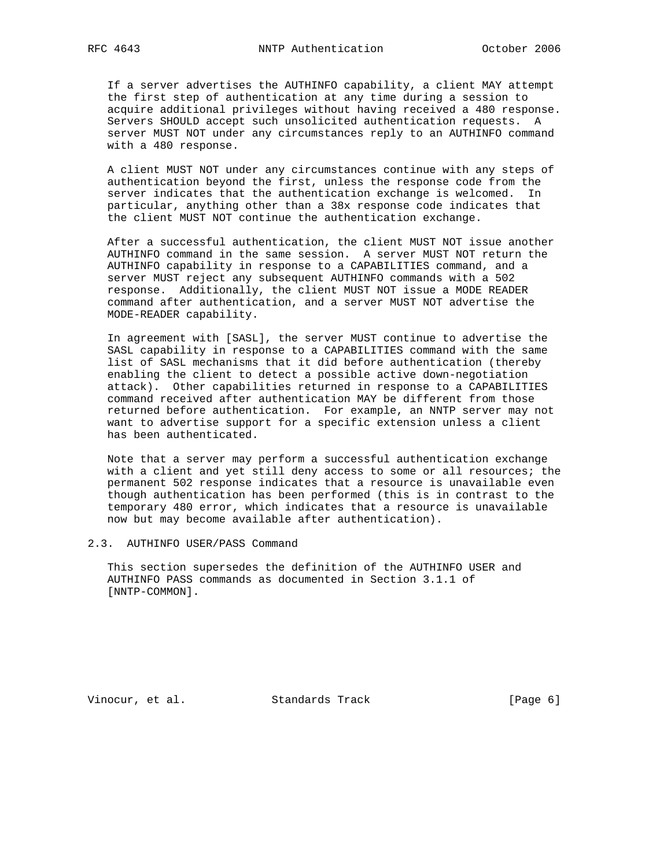If a server advertises the AUTHINFO capability, a client MAY attempt the first step of authentication at any time during a session to acquire additional privileges without having received a 480 response. Servers SHOULD accept such unsolicited authentication requests. A server MUST NOT under any circumstances reply to an AUTHINFO command with a 480 response.

 A client MUST NOT under any circumstances continue with any steps of authentication beyond the first, unless the response code from the server indicates that the authentication exchange is welcomed. In particular, anything other than a 38x response code indicates that the client MUST NOT continue the authentication exchange.

 After a successful authentication, the client MUST NOT issue another AUTHINFO command in the same session. A server MUST NOT return the AUTHINFO capability in response to a CAPABILITIES command, and a server MUST reject any subsequent AUTHINFO commands with a 502 response. Additionally, the client MUST NOT issue a MODE READER command after authentication, and a server MUST NOT advertise the MODE-READER capability.

 In agreement with [SASL], the server MUST continue to advertise the SASL capability in response to a CAPABILITIES command with the same list of SASL mechanisms that it did before authentication (thereby enabling the client to detect a possible active down-negotiation attack). Other capabilities returned in response to a CAPABILITIES command received after authentication MAY be different from those returned before authentication. For example, an NNTP server may not want to advertise support for a specific extension unless a client has been authenticated.

 Note that a server may perform a successful authentication exchange with a client and yet still deny access to some or all resources; the permanent 502 response indicates that a resource is unavailable even though authentication has been performed (this is in contrast to the temporary 480 error, which indicates that a resource is unavailable now but may become available after authentication).

### 2.3. AUTHINFO USER/PASS Command

 This section supersedes the definition of the AUTHINFO USER and AUTHINFO PASS commands as documented in Section 3.1.1 of [NNTP-COMMON].

Vinocur, et al. Standards Track [Page 6]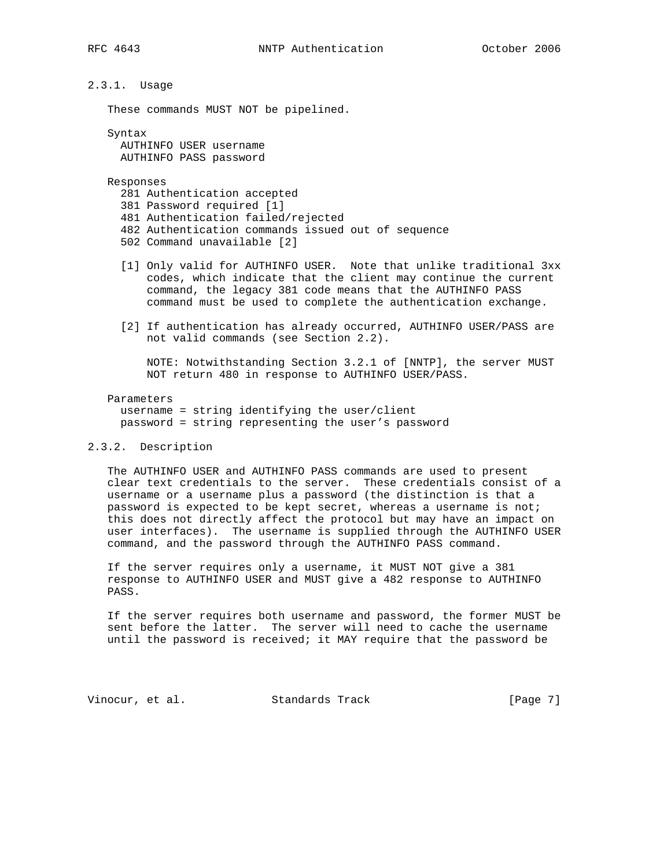# 2.3.1. Usage

These commands MUST NOT be pipelined.

 Syntax AUTHINFO USER username AUTHINFO PASS password

Responses

281 Authentication accepted

- 381 Password required [1]
- 481 Authentication failed/rejected
- 482 Authentication commands issued out of sequence
- 502 Command unavailable [2]
- [1] Only valid for AUTHINFO USER. Note that unlike traditional 3xx codes, which indicate that the client may continue the current command, the legacy 381 code means that the AUTHINFO PASS command must be used to complete the authentication exchange.
- [2] If authentication has already occurred, AUTHINFO USER/PASS are not valid commands (see Section 2.2).

 NOTE: Notwithstanding Section 3.2.1 of [NNTP], the server MUST NOT return 480 in response to AUTHINFO USER/PASS.

### Parameters username = string identifying the user/client password = string representing the user's password

#### 2.3.2. Description

 The AUTHINFO USER and AUTHINFO PASS commands are used to present clear text credentials to the server. These credentials consist of a username or a username plus a password (the distinction is that a password is expected to be kept secret, whereas a username is not; this does not directly affect the protocol but may have an impact on user interfaces). The username is supplied through the AUTHINFO USER command, and the password through the AUTHINFO PASS command.

 If the server requires only a username, it MUST NOT give a 381 response to AUTHINFO USER and MUST give a 482 response to AUTHINFO PASS.

 If the server requires both username and password, the former MUST be sent before the latter. The server will need to cache the username until the password is received; it MAY require that the password be

Vinocur, et al. Standards Track [Page 7]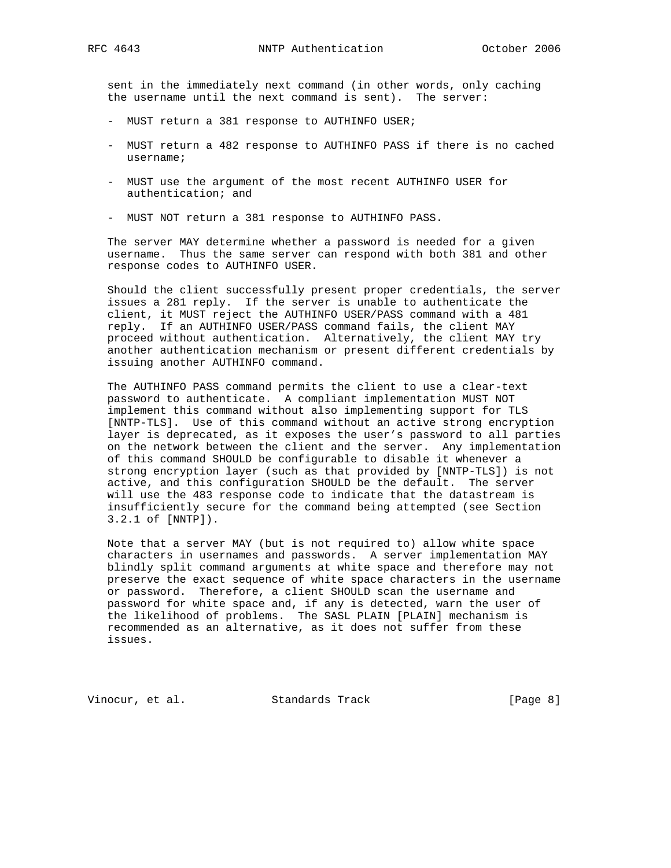sent in the immediately next command (in other words, only caching the username until the next command is sent). The server:

- MUST return a 381 response to AUTHINFO USER;
- MUST return a 482 response to AUTHINFO PASS if there is no cached username;
- MUST use the argument of the most recent AUTHINFO USER for authentication; and
- MUST NOT return a 381 response to AUTHINFO PASS.

 The server MAY determine whether a password is needed for a given username. Thus the same server can respond with both 381 and other response codes to AUTHINFO USER.

 Should the client successfully present proper credentials, the server issues a 281 reply. If the server is unable to authenticate the client, it MUST reject the AUTHINFO USER/PASS command with a 481 reply. If an AUTHINFO USER/PASS command fails, the client MAY proceed without authentication. Alternatively, the client MAY try another authentication mechanism or present different credentials by issuing another AUTHINFO command.

 The AUTHINFO PASS command permits the client to use a clear-text password to authenticate. A compliant implementation MUST NOT implement this command without also implementing support for TLS [NNTP-TLS]. Use of this command without an active strong encryption layer is deprecated, as it exposes the user's password to all parties on the network between the client and the server. Any implementation of this command SHOULD be configurable to disable it whenever a strong encryption layer (such as that provided by [NNTP-TLS]) is not active, and this configuration SHOULD be the default. The server will use the 483 response code to indicate that the datastream is insufficiently secure for the command being attempted (see Section 3.2.1 of [NNTP]).

 Note that a server MAY (but is not required to) allow white space characters in usernames and passwords. A server implementation MAY blindly split command arguments at white space and therefore may not preserve the exact sequence of white space characters in the username or password. Therefore, a client SHOULD scan the username and password for white space and, if any is detected, warn the user of the likelihood of problems. The SASL PLAIN [PLAIN] mechanism is recommended as an alternative, as it does not suffer from these issues.

Vinocur, et al. Standards Track [Page 8]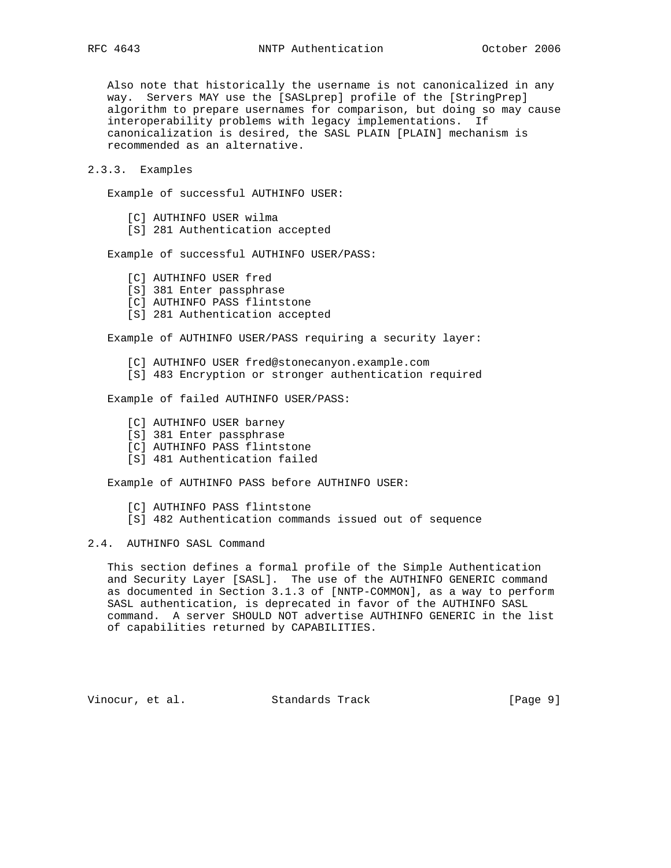Also note that historically the username is not canonicalized in any way. Servers MAY use the [SASLprep] profile of the [StringPrep] algorithm to prepare usernames for comparison, but doing so may cause interoperability problems with legacy implementations. If canonicalization is desired, the SASL PLAIN [PLAIN] mechanism is recommended as an alternative.

### 2.3.3. Examples

Example of successful AUTHINFO USER:

- [C] AUTHINFO USER wilma
- [S] 281 Authentication accepted

Example of successful AUTHINFO USER/PASS:

- [C] AUTHINFO USER fred
- [S] 381 Enter passphrase
- [C] AUTHINFO PASS flintstone
- [S] 281 Authentication accepted

Example of AUTHINFO USER/PASS requiring a security layer:

- [C] AUTHINFO USER fred@stonecanyon.example.com
- [S] 483 Encryption or stronger authentication required

Example of failed AUTHINFO USER/PASS:

- [C] AUTHINFO USER barney
- [S] 381 Enter passphrase
- [C] AUTHINFO PASS flintstone
- [S] 481 Authentication failed

Example of AUTHINFO PASS before AUTHINFO USER:

[C] AUTHINFO PASS flintstone

[S] 482 Authentication commands issued out of sequence

# 2.4. AUTHINFO SASL Command

 This section defines a formal profile of the Simple Authentication and Security Layer [SASL]. The use of the AUTHINFO GENERIC command as documented in Section 3.1.3 of [NNTP-COMMON], as a way to perform SASL authentication, is deprecated in favor of the AUTHINFO SASL command. A server SHOULD NOT advertise AUTHINFO GENERIC in the list of capabilities returned by CAPABILITIES.

Vinocur, et al. Standards Track [Page 9]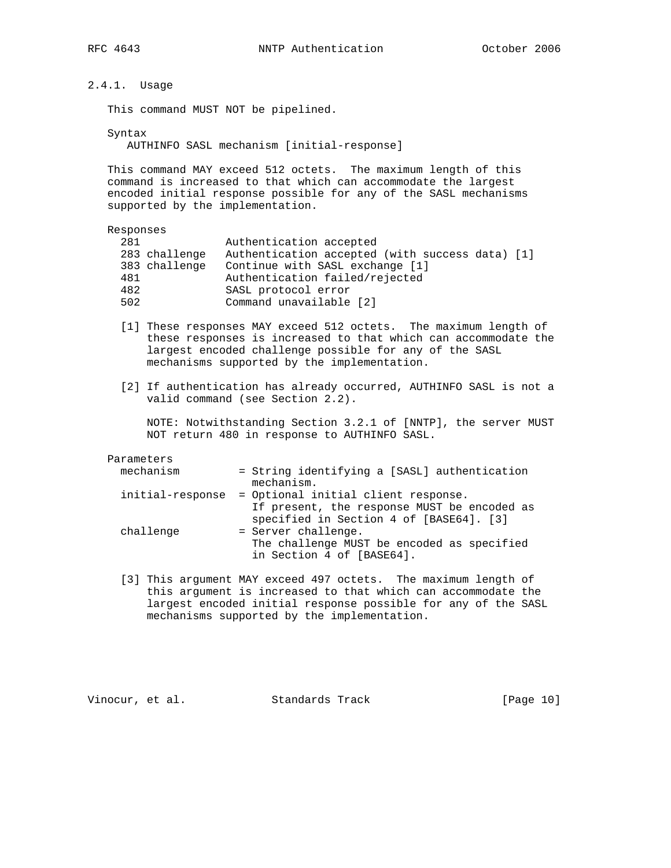2.4.1. Usage

This command MUST NOT be pipelined.

 Syntax AUTHINFO SASL mechanism [initial-response]

 This command MAY exceed 512 octets. The maximum length of this command is increased to that which can accommodate the largest encoded initial response possible for any of the SASL mechanisms supported by the implementation.

Responses

| 281 | 283 challenge<br>383 challenge | Authentication accepted<br>Authentication accepted (with success data) [1]<br>Continue with SASL exchange [1] |  |
|-----|--------------------------------|---------------------------------------------------------------------------------------------------------------|--|
| 481 |                                | Authentication failed/rejected                                                                                |  |
| 482 |                                | SASL protocol error                                                                                           |  |
| 502 |                                | Command unavailable [2]                                                                                       |  |

- [1] These responses MAY exceed 512 octets. The maximum length of these responses is increased to that which can accommodate the largest encoded challenge possible for any of the SASL mechanisms supported by the implementation.
- [2] If authentication has already occurred, AUTHINFO SASL is not a valid command (see Section 2.2).

 NOTE: Notwithstanding Section 3.2.1 of [NNTP], the server MUST NOT return 480 in response to AUTHINFO SASL.

#### Parameters

| mechanism        | = String identifying a [SASL] authentication                                                   |
|------------------|------------------------------------------------------------------------------------------------|
|                  | mechanism.                                                                                     |
| initial-response | = Optional initial client response.                                                            |
|                  | If present, the response MUST be encoded as<br>specified in Section 4 of [BASE64]. [3]         |
| challenge        | = Server challenge.<br>The challenge MUST be encoded as specified<br>in Section 4 of [BASE64]. |

 [3] This argument MAY exceed 497 octets. The maximum length of this argument is increased to that which can accommodate the largest encoded initial response possible for any of the SASL mechanisms supported by the implementation.

Vinocur, et al. Standards Track [Page 10]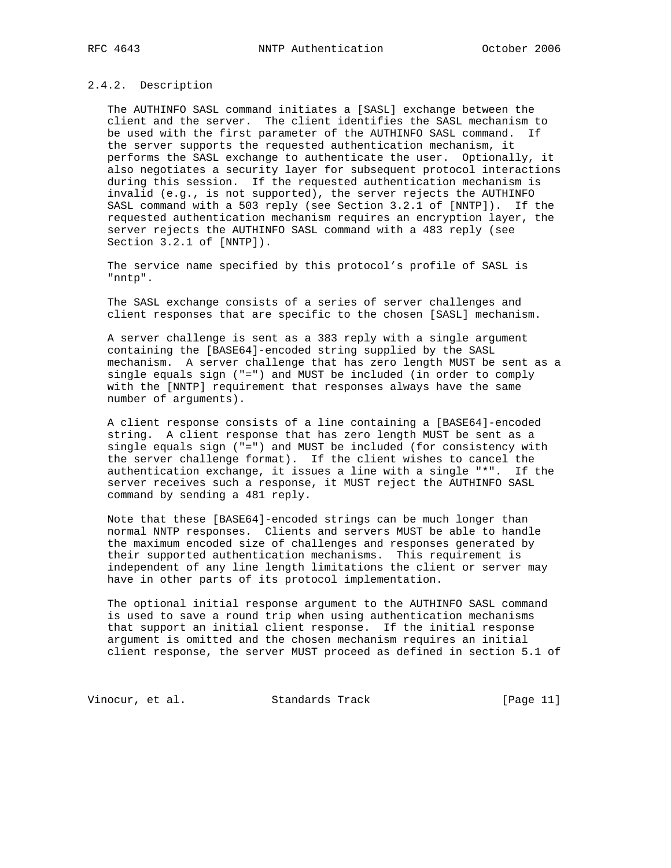### 2.4.2. Description

 The AUTHINFO SASL command initiates a [SASL] exchange between the client and the server. The client identifies the SASL mechanism to be used with the first parameter of the AUTHINFO SASL command. If the server supports the requested authentication mechanism, it performs the SASL exchange to authenticate the user. Optionally, it also negotiates a security layer for subsequent protocol interactions during this session. If the requested authentication mechanism is invalid (e.g., is not supported), the server rejects the AUTHINFO SASL command with a 503 reply (see Section 3.2.1 of [NNTP]). If the requested authentication mechanism requires an encryption layer, the server rejects the AUTHINFO SASL command with a 483 reply (see Section 3.2.1 of [NNTP]).

 The service name specified by this protocol's profile of SASL is "nntp".

 The SASL exchange consists of a series of server challenges and client responses that are specific to the chosen [SASL] mechanism.

 A server challenge is sent as a 383 reply with a single argument containing the [BASE64]-encoded string supplied by the SASL mechanism. A server challenge that has zero length MUST be sent as a single equals sign ("=") and MUST be included (in order to comply with the [NNTP] requirement that responses always have the same number of arguments).

 A client response consists of a line containing a [BASE64]-encoded string. A client response that has zero length MUST be sent as a single equals sign ("=") and MUST be included (for consistency with the server challenge format). If the client wishes to cancel the authentication exchange, it issues a line with a single "\*". If the server receives such a response, it MUST reject the AUTHINFO SASL command by sending a 481 reply.

 Note that these [BASE64]-encoded strings can be much longer than normal NNTP responses. Clients and servers MUST be able to handle the maximum encoded size of challenges and responses generated by their supported authentication mechanisms. This requirement is independent of any line length limitations the client or server may have in other parts of its protocol implementation.

 The optional initial response argument to the AUTHINFO SASL command is used to save a round trip when using authentication mechanisms that support an initial client response. If the initial response argument is omitted and the chosen mechanism requires an initial client response, the server MUST proceed as defined in section 5.1 of

Vinocur, et al. Standards Track [Page 11]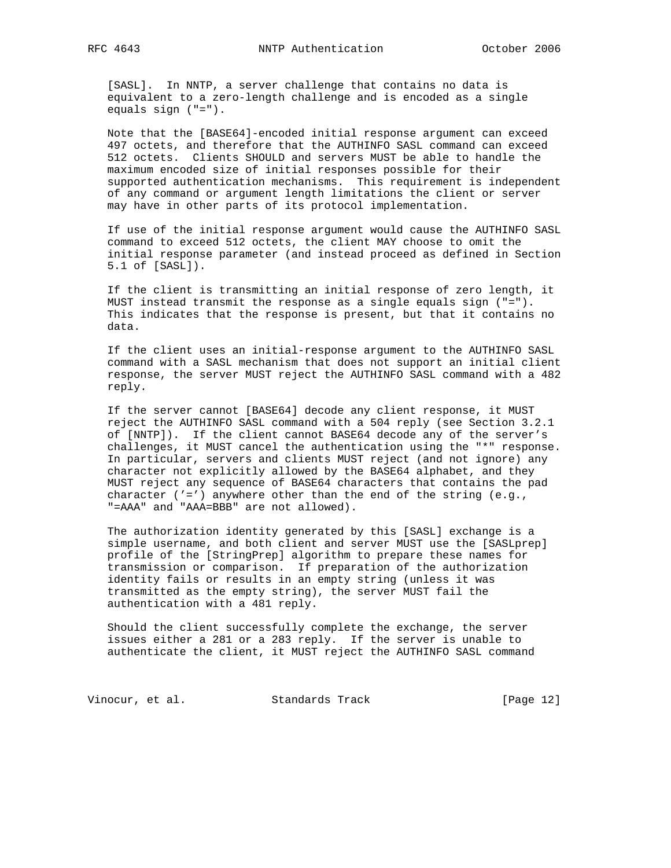[SASL]. In NNTP, a server challenge that contains no data is equivalent to a zero-length challenge and is encoded as a single equals sign ("=").

 Note that the [BASE64]-encoded initial response argument can exceed 497 octets, and therefore that the AUTHINFO SASL command can exceed 512 octets. Clients SHOULD and servers MUST be able to handle the maximum encoded size of initial responses possible for their supported authentication mechanisms. This requirement is independent of any command or argument length limitations the client or server may have in other parts of its protocol implementation.

 If use of the initial response argument would cause the AUTHINFO SASL command to exceed 512 octets, the client MAY choose to omit the initial response parameter (and instead proceed as defined in Section 5.1 of [SASL]).

 If the client is transmitting an initial response of zero length, it MUST instead transmit the response as a single equals sign ("="). This indicates that the response is present, but that it contains no data.

 If the client uses an initial-response argument to the AUTHINFO SASL command with a SASL mechanism that does not support an initial client response, the server MUST reject the AUTHINFO SASL command with a 482 reply.

 If the server cannot [BASE64] decode any client response, it MUST reject the AUTHINFO SASL command with a 504 reply (see Section 3.2.1 of [NNTP]). If the client cannot BASE64 decode any of the server's challenges, it MUST cancel the authentication using the "\*" response. In particular, servers and clients MUST reject (and not ignore) any character not explicitly allowed by the BASE64 alphabet, and they MUST reject any sequence of BASE64 characters that contains the pad character  $('='')$  anywhere other than the end of the string  $(e.g.,)$ "=AAA" and "AAA=BBB" are not allowed).

 The authorization identity generated by this [SASL] exchange is a simple username, and both client and server MUST use the [SASLprep] profile of the [StringPrep] algorithm to prepare these names for transmission or comparison. If preparation of the authorization identity fails or results in an empty string (unless it was transmitted as the empty string), the server MUST fail the authentication with a 481 reply.

 Should the client successfully complete the exchange, the server issues either a 281 or a 283 reply. If the server is unable to authenticate the client, it MUST reject the AUTHINFO SASL command

Vinocur, et al. Standards Track [Page 12]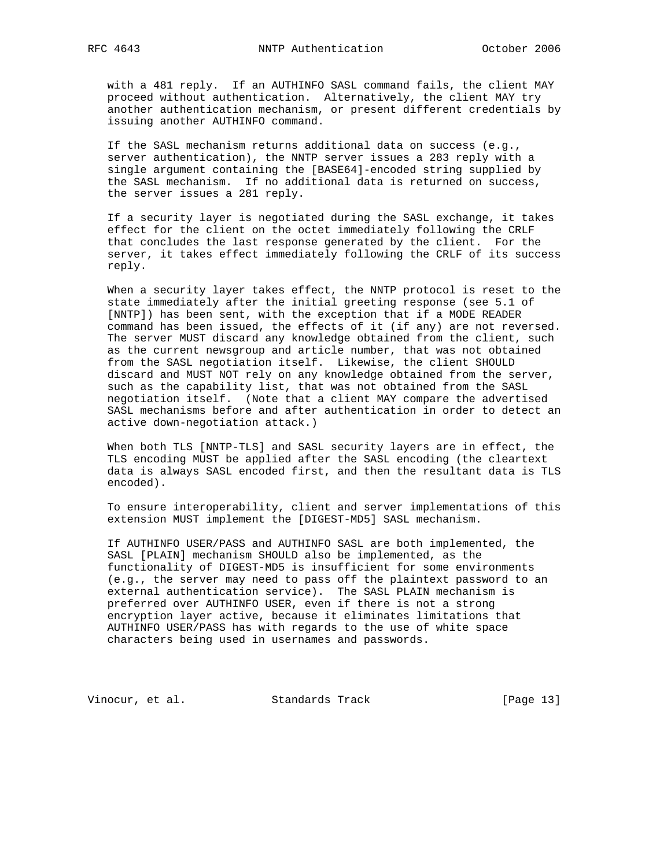with a 481 reply. If an AUTHINFO SASL command fails, the client MAY proceed without authentication. Alternatively, the client MAY try another authentication mechanism, or present different credentials by issuing another AUTHINFO command.

 If the SASL mechanism returns additional data on success (e.g., server authentication), the NNTP server issues a 283 reply with a single argument containing the [BASE64]-encoded string supplied by the SASL mechanism. If no additional data is returned on success, the server issues a 281 reply.

 If a security layer is negotiated during the SASL exchange, it takes effect for the client on the octet immediately following the CRLF that concludes the last response generated by the client. For the server, it takes effect immediately following the CRLF of its success reply.

 When a security layer takes effect, the NNTP protocol is reset to the state immediately after the initial greeting response (see 5.1 of [NNTP]) has been sent, with the exception that if a MODE READER command has been issued, the effects of it (if any) are not reversed. The server MUST discard any knowledge obtained from the client, such as the current newsgroup and article number, that was not obtained from the SASL negotiation itself. Likewise, the client SHOULD discard and MUST NOT rely on any knowledge obtained from the server, such as the capability list, that was not obtained from the SASL negotiation itself. (Note that a client MAY compare the advertised SASL mechanisms before and after authentication in order to detect an active down-negotiation attack.)

 When both TLS [NNTP-TLS] and SASL security layers are in effect, the TLS encoding MUST be applied after the SASL encoding (the cleartext data is always SASL encoded first, and then the resultant data is TLS encoded).

 To ensure interoperability, client and server implementations of this extension MUST implement the [DIGEST-MD5] SASL mechanism.

 If AUTHINFO USER/PASS and AUTHINFO SASL are both implemented, the SASL [PLAIN] mechanism SHOULD also be implemented, as the functionality of DIGEST-MD5 is insufficient for some environments (e.g., the server may need to pass off the plaintext password to an external authentication service). The SASL PLAIN mechanism is preferred over AUTHINFO USER, even if there is not a strong encryption layer active, because it eliminates limitations that AUTHINFO USER/PASS has with regards to the use of white space characters being used in usernames and passwords.

Vinocur, et al. Standards Track [Page 13]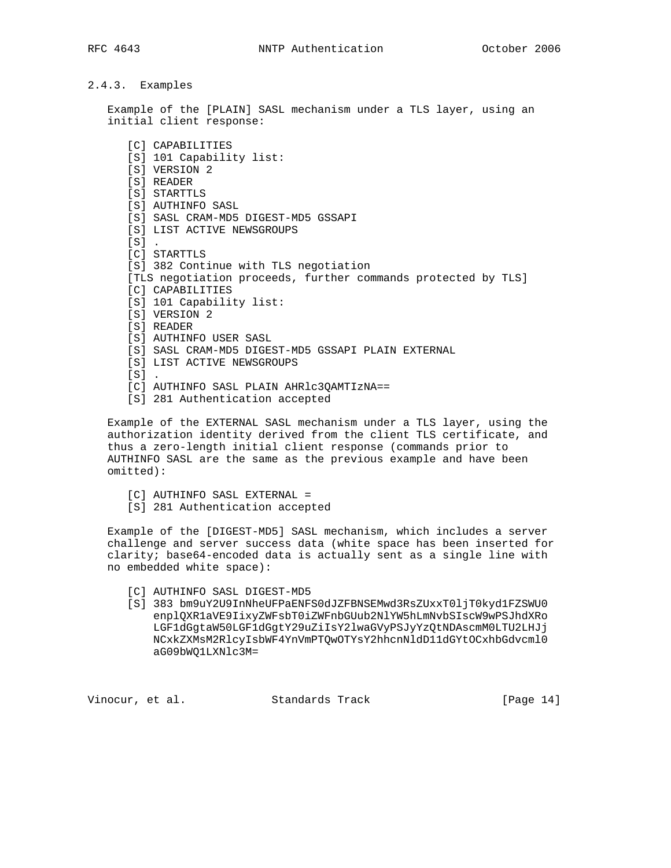# 2.4.3. Examples

 Example of the [PLAIN] SASL mechanism under a TLS layer, using an initial client response:

 [C] CAPABILITIES [S] 101 Capability list: [S] VERSION 2 [S] READER [S] STARTTLS [S] AUTHINFO SASL [S] SASL CRAM-MD5 DIGEST-MD5 GSSAPI [S] LIST ACTIVE NEWSGROUPS  $[S]$  [C] STARTTLS [S] 382 Continue with TLS negotiation [TLS negotiation proceeds, further commands protected by TLS] [C] CAPABILITIES [S] 101 Capability list: [S] VERSION 2 [S] READER [S] AUTHINFO USER SASL [S] SASL CRAM-MD5 DIGEST-MD5 GSSAPI PLAIN EXTERNAL [S] LIST ACTIVE NEWSGROUPS  $[s]$ . [C] AUTHINFO SASL PLAIN AHRlc3QAMTIzNA== [S] 281 Authentication accepted

 Example of the EXTERNAL SASL mechanism under a TLS layer, using the authorization identity derived from the client TLS certificate, and thus a zero-length initial client response (commands prior to AUTHINFO SASL are the same as the previous example and have been omitted):

- [C] AUTHINFO SASL EXTERNAL =
- [S] 281 Authentication accepted

 Example of the [DIGEST-MD5] SASL mechanism, which includes a server challenge and server success data (white space has been inserted for clarity; base64-encoded data is actually sent as a single line with no embedded white space):

- [C] AUTHINFO SASL DIGEST-MD5
- [S] 383 bm9uY2U9InNheUFPaENFS0dJZFBNSEMwd3RsZUxxT0ljT0kyd1FZSWU0 enplQXR1aVE9IixyZWFsbT0iZWFnbGUub2NlYW5hLmNvbSIscW9wPSJhdXRo LGF1dGgtaW50LGF1dGgtY29uZiIsY2lwaGVyPSJyYzQtNDAscmM0LTU2LHJj NCxkZXMsM2RlcyIsbWF4YnVmPTQwOTYsY2hhcnNldD11dGYtOCxhbGdvcml0 aG09bWQ1LXNlc3M=

Vinocur, et al. Standards Track [Page 14]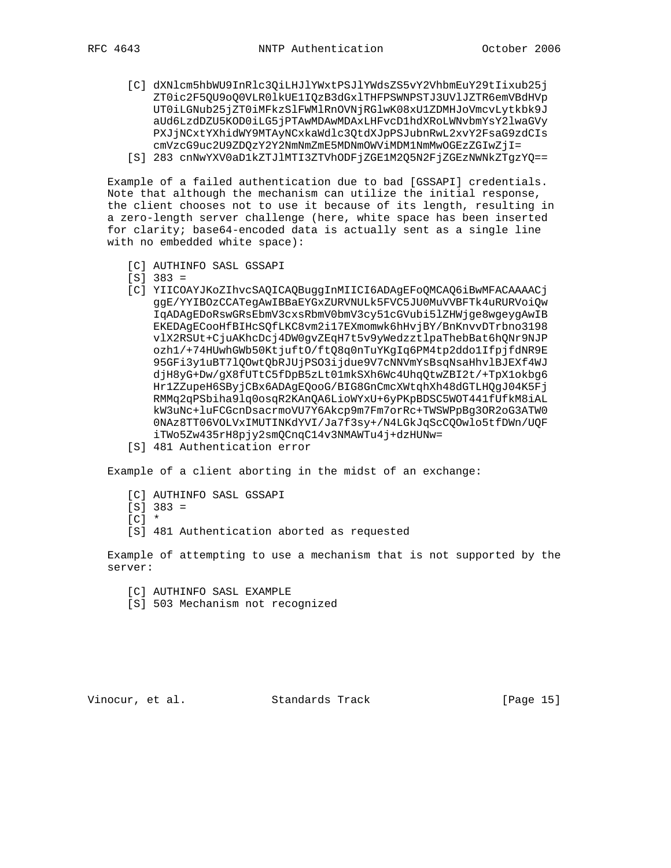- - [C] dXNlcm5hbWU9InRlc3QiLHJlYWxtPSJlYWdsZS5vY2VhbmEuY29tIixub25j ZT0ic2F5QU9oQ0VLR0lkUE1IQzB3dGxlTHFPSWNPSTJ3UVlJZTR6emVBdHVp UT0iLGNub25jZT0iMFkzSlFWMlRnOVNjRGlwK08xU1ZDMHJoVmcvLytkbk9J aUd6LzdDZU5KOD0iLG5jPTAwMDAwMDAxLHFvcD1hdXRoLWNvbmYsY2lwaGVy PXJjNCxtYXhidWY9MTAyNCxkaWdlc3QtdXJpPSJubnRwL2xvY2FsaG9zdCIs cmVzcG9uc2U9ZDQzY2Y2NmNmZmE5MDNmOWViMDM1NmMwOGEzZGIwZjI= [S] 283 cnNwYXV0aD1kZTJlMTI3ZTVhODFjZGE1M2Q5N2FjZGEzNWNkZTgzYQ==

 Example of a failed authentication due to bad [GSSAPI] credentials. Note that although the mechanism can utilize the initial response, the client chooses not to use it because of its length, resulting in a zero-length server challenge (here, white space has been inserted for clarity; base64-encoded data is actually sent as a single line with no embedded white space):

- [C] AUTHINFO SASL GSSAPI
- [S] 383 =
- [C] YIICOAYJKoZIhvcSAQICAQBuggInMIICI6ADAgEFoQMCAQ6iBwMFACAAAACj ggE/YYIBOzCCATegAwIBBaEYGxZURVNULk5FVC5JU0MuVVBFTk4uRURVoiQw IqADAgEDoRswGRsEbmV3cxsRbmV0bmV3cy51cGVubi5lZHWjge8wgeygAwIB EKEDAgECooHfBIHcSQfLKC8vm2i17EXmomwk6hHvjBY/BnKnvvDTrbno3198 vlX2RSUt+CjuAKhcDcj4DW0gvZEqH7t5v9yWedzztlpaThebBat6hQNr9NJP ozh1/+74HUwhGWb50KtjuftO/ftQ8q0nTuYKgIq6PM4tp2ddo1IfpjfdNR9E 95GFi3y1uBT7lQOwtQbRJUjPSO3ijdue9V7cNNVmYsBsqNsaHhvlBJEXf4WJ djH8yG+Dw/gX8fUTtC5fDpB5zLt01mkSXh6Wc4UhqQtwZBI2t/+TpX1okbg6 Hr1ZZupeH6SByjCBx6ADAgEQooG/BIG8GnCmcXWtqhXh48dGTLHQgJ04K5Fj RMMq2qPSbiha9lq0osqR2KAnQA6LioWYxU+6yPKpBDSC5WOT441fUfkM8iAL kW3uNc+luFCGcnDsacrmoVU7Y6Akcp9m7Fm7orRc+TWSWPpBg3OR2oG3ATW0 0NAz8TT06VOLVxIMUTINKdYVI/Ja7f3sy+/N4LGkJqScCQOwlo5tfDWn/UQF iTWo5Zw435rH8pjy2smQCnqC14v3NMAWTu4j+dzHUNw=
- [S] 481 Authentication error

Example of a client aborting in the midst of an exchange:

- [C] AUTHINFO SASL GSSAPI
- $[S]$  383 =
- $[CI \ast$
- [S] 481 Authentication aborted as requested

 Example of attempting to use a mechanism that is not supported by the server:

- [C] AUTHINFO SASL EXAMPLE
- [S] 503 Mechanism not recognized

Vinocur, et al. Standards Track [Page 15]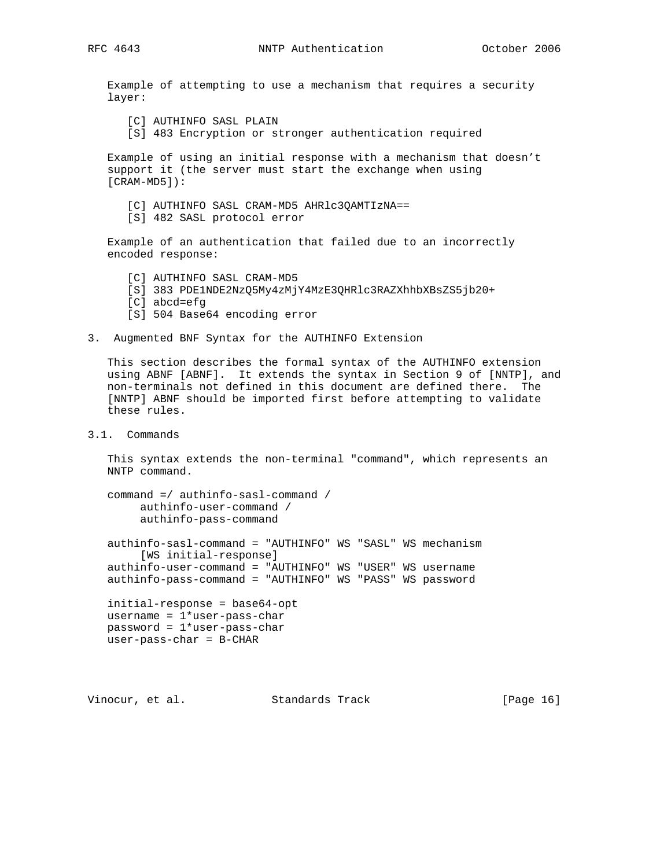Example of attempting to use a mechanism that requires a security layer:

- [C] AUTHINFO SASL PLAIN
- [S] 483 Encryption or stronger authentication required

 Example of using an initial response with a mechanism that doesn't support it (the server must start the exchange when using [CRAM-MD5]):

- [C] AUTHINFO SASL CRAM-MD5 AHRlc3QAMTIzNA==
- [S] 482 SASL protocol error

 Example of an authentication that failed due to an incorrectly encoded response:

- [C] AUTHINFO SASL CRAM-MD5
- [S] 383 PDE1NDE2NzQ5My4zMjY4MzE3QHRlc3RAZXhhbXBsZS5jb20+
- [C] abcd=efg
- [S] 504 Base64 encoding error
- 3. Augmented BNF Syntax for the AUTHINFO Extension

 This section describes the formal syntax of the AUTHINFO extension using ABNF [ABNF]. It extends the syntax in Section 9 of [NNTP], and non-terminals not defined in this document are defined there. The [NNTP] ABNF should be imported first before attempting to validate these rules.

3.1. Commands

 This syntax extends the non-terminal "command", which represents an NNTP command.

```
 command =/ authinfo-sasl-command /
      authinfo-user-command /
      authinfo-pass-command
```
 authinfo-sasl-command = "AUTHINFO" WS "SASL" WS mechanism [WS initial-response] authinfo-user-command = "AUTHINFO" WS "USER" WS username authinfo-pass-command = "AUTHINFO" WS "PASS" WS password

```
 initial-response = base64-opt
username = 1*user-pass-char password = 1*user-pass-char
 user-pass-char = B-CHAR
```
Vinocur, et al. Standards Track [Page 16]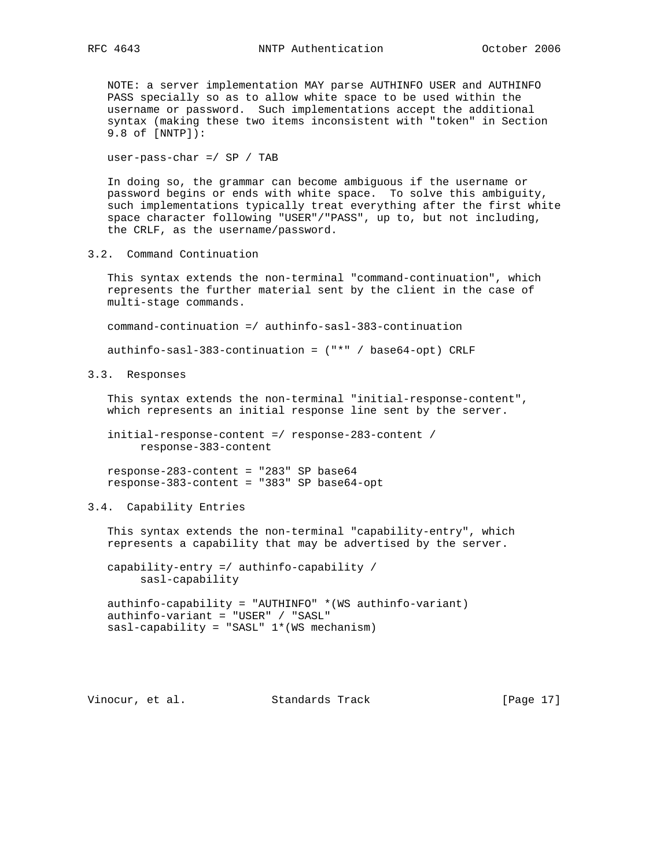NOTE: a server implementation MAY parse AUTHINFO USER and AUTHINFO PASS specially so as to allow white space to be used within the username or password. Such implementations accept the additional syntax (making these two items inconsistent with "token" in Section 9.8 of [NNTP]):

user-pass-char =/ SP / TAB

 In doing so, the grammar can become ambiguous if the username or password begins or ends with white space. To solve this ambiguity, such implementations typically treat everything after the first white space character following "USER"/"PASS", up to, but not including, the CRLF, as the username/password.

3.2. Command Continuation

 This syntax extends the non-terminal "command-continuation", which represents the further material sent by the client in the case of multi-stage commands.

command-continuation =/ authinfo-sasl-383-continuation

authinfo-sasl-383-continuation = ("\*" / base64-opt) CRLF

3.3. Responses

 This syntax extends the non-terminal "initial-response-content", which represents an initial response line sent by the server.

 initial-response-content =/ response-283-content / response-383-content

 response-283-content = "283" SP base64 response-383-content = "383" SP base64-opt

#### 3.4. Capability Entries

 This syntax extends the non-terminal "capability-entry", which represents a capability that may be advertised by the server.

 capability-entry =/ authinfo-capability / sasl-capability

 authinfo-capability = "AUTHINFO" \*(WS authinfo-variant) authinfo-variant = "USER" / "SASL" sasl-capability = "SASL" 1\*(WS mechanism)

Vinocur, et al. Standards Track [Page 17]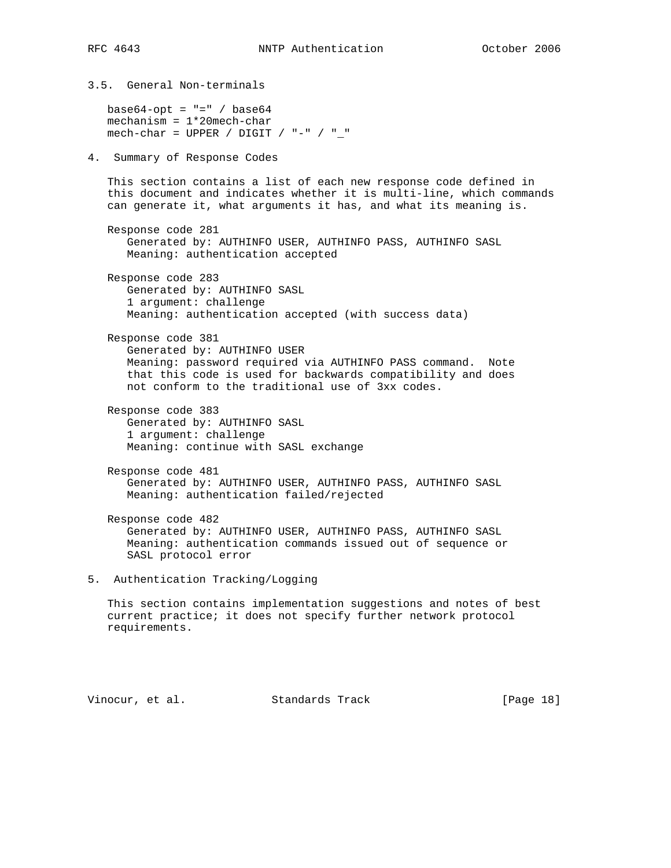3.5. General Non-terminals  $base64$ -opt = "=" /  $base64$  mechanism = 1\*20mech-char mech-char = UPPER / DIGIT / "-" / "\_" 4. Summary of Response Codes This section contains a list of each new response code defined in this document and indicates whether it is multi-line, which commands can generate it, what arguments it has, and what its meaning is. Response code 281 Generated by: AUTHINFO USER, AUTHINFO PASS, AUTHINFO SASL Meaning: authentication accepted Response code 283 Generated by: AUTHINFO SASL 1 argument: challenge Meaning: authentication accepted (with success data) Response code 381 Generated by: AUTHINFO USER Meaning: password required via AUTHINFO PASS command. Note that this code is used for backwards compatibility and does not conform to the traditional use of 3xx codes. Response code 383 Generated by: AUTHINFO SASL 1 argument: challenge Meaning: continue with SASL exchange Response code 481 Generated by: AUTHINFO USER, AUTHINFO PASS, AUTHINFO SASL Meaning: authentication failed/rejected Response code 482 Generated by: AUTHINFO USER, AUTHINFO PASS, AUTHINFO SASL Meaning: authentication commands issued out of sequence or SASL protocol error 5. Authentication Tracking/Logging This section contains implementation suggestions and notes of best current practice; it does not specify further network protocol requirements.

Vinocur, et al. Standards Track [Page 18]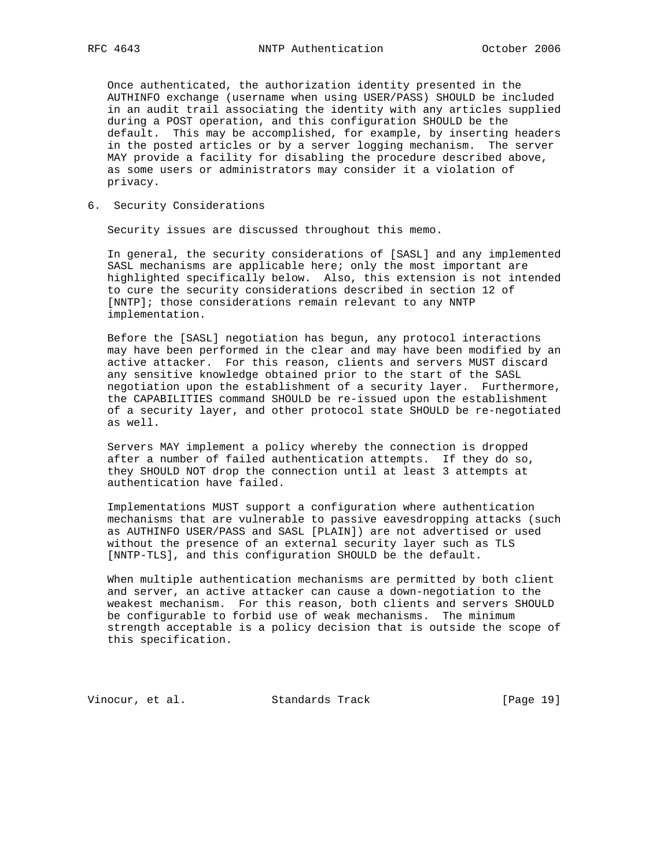Once authenticated, the authorization identity presented in the AUTHINFO exchange (username when using USER/PASS) SHOULD be included in an audit trail associating the identity with any articles supplied during a POST operation, and this configuration SHOULD be the default. This may be accomplished, for example, by inserting headers in the posted articles or by a server logging mechanism. The server MAY provide a facility for disabling the procedure described above, as some users or administrators may consider it a violation of privacy.

6. Security Considerations

Security issues are discussed throughout this memo.

 In general, the security considerations of [SASL] and any implemented SASL mechanisms are applicable here; only the most important are highlighted specifically below. Also, this extension is not intended to cure the security considerations described in section 12 of [NNTP]; those considerations remain relevant to any NNTP implementation.

 Before the [SASL] negotiation has begun, any protocol interactions may have been performed in the clear and may have been modified by an active attacker. For this reason, clients and servers MUST discard any sensitive knowledge obtained prior to the start of the SASL negotiation upon the establishment of a security layer. Furthermore, the CAPABILITIES command SHOULD be re-issued upon the establishment of a security layer, and other protocol state SHOULD be re-negotiated as well.

 Servers MAY implement a policy whereby the connection is dropped after a number of failed authentication attempts. If they do so, they SHOULD NOT drop the connection until at least 3 attempts at authentication have failed.

 Implementations MUST support a configuration where authentication mechanisms that are vulnerable to passive eavesdropping attacks (such as AUTHINFO USER/PASS and SASL [PLAIN]) are not advertised or used without the presence of an external security layer such as TLS [NNTP-TLS], and this configuration SHOULD be the default.

 When multiple authentication mechanisms are permitted by both client and server, an active attacker can cause a down-negotiation to the weakest mechanism. For this reason, both clients and servers SHOULD be configurable to forbid use of weak mechanisms. The minimum strength acceptable is a policy decision that is outside the scope of this specification.

Vinocur, et al. Standards Track [Page 19]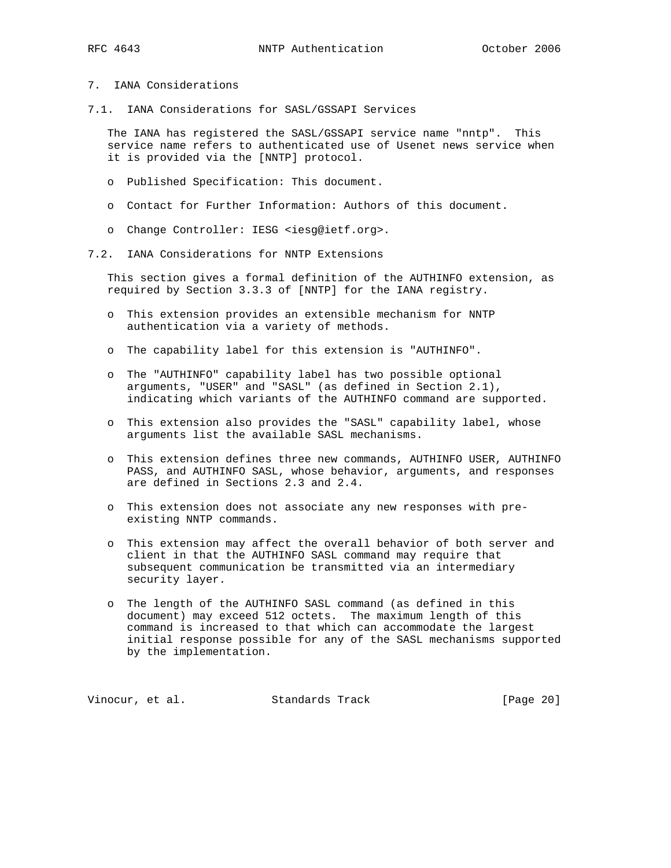# 7. IANA Considerations

7.1. IANA Considerations for SASL/GSSAPI Services

 The IANA has registered the SASL/GSSAPI service name "nntp". This service name refers to authenticated use of Usenet news service when it is provided via the [NNTP] protocol.

- o Published Specification: This document.
- o Contact for Further Information: Authors of this document.
- o Change Controller: IESG <iesg@ietf.org>.
- 7.2. IANA Considerations for NNTP Extensions

 This section gives a formal definition of the AUTHINFO extension, as required by Section 3.3.3 of [NNTP] for the IANA registry.

- o This extension provides an extensible mechanism for NNTP authentication via a variety of methods.
- o The capability label for this extension is "AUTHINFO".
- o The "AUTHINFO" capability label has two possible optional arguments, "USER" and "SASL" (as defined in Section 2.1), indicating which variants of the AUTHINFO command are supported.
- o This extension also provides the "SASL" capability label, whose arguments list the available SASL mechanisms.
- o This extension defines three new commands, AUTHINFO USER, AUTHINFO PASS, and AUTHINFO SASL, whose behavior, arguments, and responses are defined in Sections 2.3 and 2.4.
- o This extension does not associate any new responses with pre existing NNTP commands.
- o This extension may affect the overall behavior of both server and client in that the AUTHINFO SASL command may require that subsequent communication be transmitted via an intermediary security layer.
- o The length of the AUTHINFO SASL command (as defined in this document) may exceed 512 octets. The maximum length of this command is increased to that which can accommodate the largest initial response possible for any of the SASL mechanisms supported by the implementation.

Vinocur, et al. Standards Track [Page 20]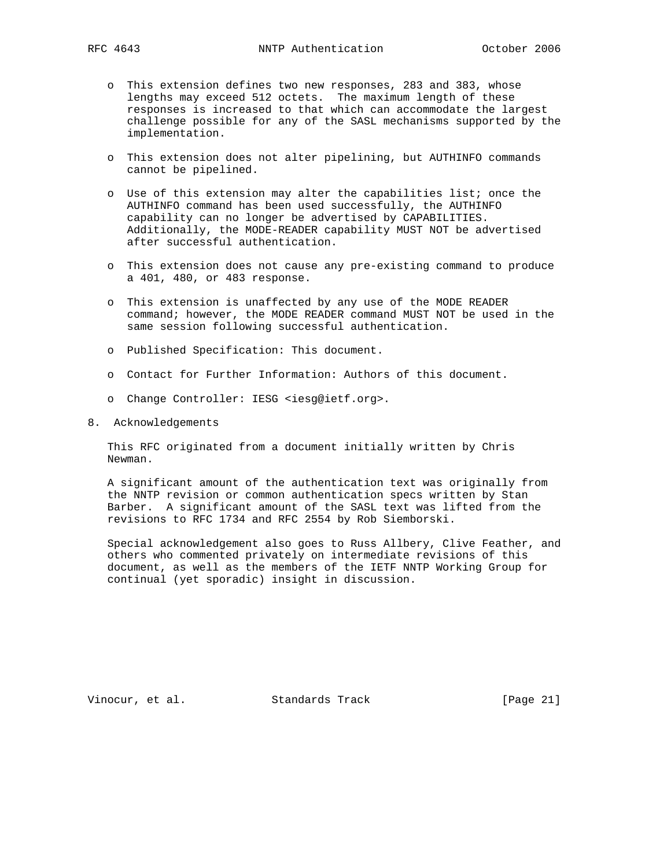- o This extension defines two new responses, 283 and 383, whose lengths may exceed 512 octets. The maximum length of these responses is increased to that which can accommodate the largest challenge possible for any of the SASL mechanisms supported by the implementation.
- o This extension does not alter pipelining, but AUTHINFO commands cannot be pipelined.
- o Use of this extension may alter the capabilities list; once the AUTHINFO command has been used successfully, the AUTHINFO capability can no longer be advertised by CAPABILITIES. Additionally, the MODE-READER capability MUST NOT be advertised after successful authentication.
- o This extension does not cause any pre-existing command to produce a 401, 480, or 483 response.
- o This extension is unaffected by any use of the MODE READER command; however, the MODE READER command MUST NOT be used in the same session following successful authentication.
- o Published Specification: This document.
- o Contact for Further Information: Authors of this document.
- o Change Controller: IESG <iesg@ietf.org>.
- 8. Acknowledgements

 This RFC originated from a document initially written by Chris Newman.

 A significant amount of the authentication text was originally from the NNTP revision or common authentication specs written by Stan Barber. A significant amount of the SASL text was lifted from the revisions to RFC 1734 and RFC 2554 by Rob Siemborski.

 Special acknowledgement also goes to Russ Allbery, Clive Feather, and others who commented privately on intermediate revisions of this document, as well as the members of the IETF NNTP Working Group for continual (yet sporadic) insight in discussion.

Vinocur, et al. Standards Track [Page 21]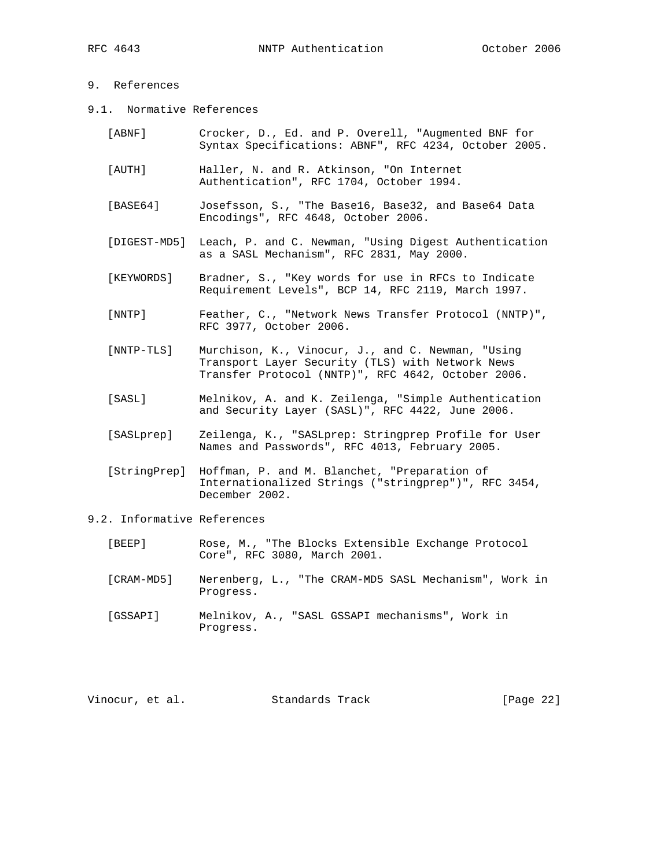### 9. References

9.1. Normative References

| [ABNF]     | Crocker, D., Ed. and P. Overell, "Augmented BNF for<br>Syntax Specifications: ABNF", RFC 4234, October 2005.    |
|------------|-----------------------------------------------------------------------------------------------------------------|
| [AUTH]     | Haller, N. and R. Atkinson, "On Internet<br>Authentication", RFC 1704, October 1994.                            |
| [BASE64]   | Josefsson, S., "The Base16, Base32, and Base64 Data<br>Encodings", RFC 4648, October 2006.                      |
|            | [DIGEST-MD5] Leach, P. and C. Newman, "Using Digest Authentication<br>as a SASL Mechanism", RFC 2831, May 2000. |
| [KEYWORDS] | Bradner, S., "Key words for use in RFCs to Indicate<br>Requirement Levels", BCP 14, RFC 2119, March 1997.       |

 [NNTP] Feather, C., "Network News Transfer Protocol (NNTP)", RFC 3977, October 2006.

- [NNTP-TLS] Murchison, K., Vinocur, J., and C. Newman, "Using Transport Layer Security (TLS) with Network News Transfer Protocol (NNTP)", RFC 4642, October 2006.
- [SASL] Melnikov, A. and K. Zeilenga, "Simple Authentication and Security Layer (SASL)", RFC 4422, June 2006.
- [SASLprep] Zeilenga, K., "SASLprep: Stringprep Profile for User Names and Passwords", RFC 4013, February 2005.
- [StringPrep] Hoffman, P. and M. Blanchet, "Preparation of Internationalized Strings ("stringprep")", RFC 3454, December 2002.
- 9.2. Informative References
	- [BEEP] Rose, M., "The Blocks Extensible Exchange Protocol Core", RFC 3080, March 2001.
	- [CRAM-MD5] Nerenberg, L., "The CRAM-MD5 SASL Mechanism", Work in Progress.
	- [GSSAPI] Melnikov, A., "SASL GSSAPI mechanisms", Work in Progress.

| Vinocur, et al.<br>Standards Track | [Page 22] |
|------------------------------------|-----------|
|------------------------------------|-----------|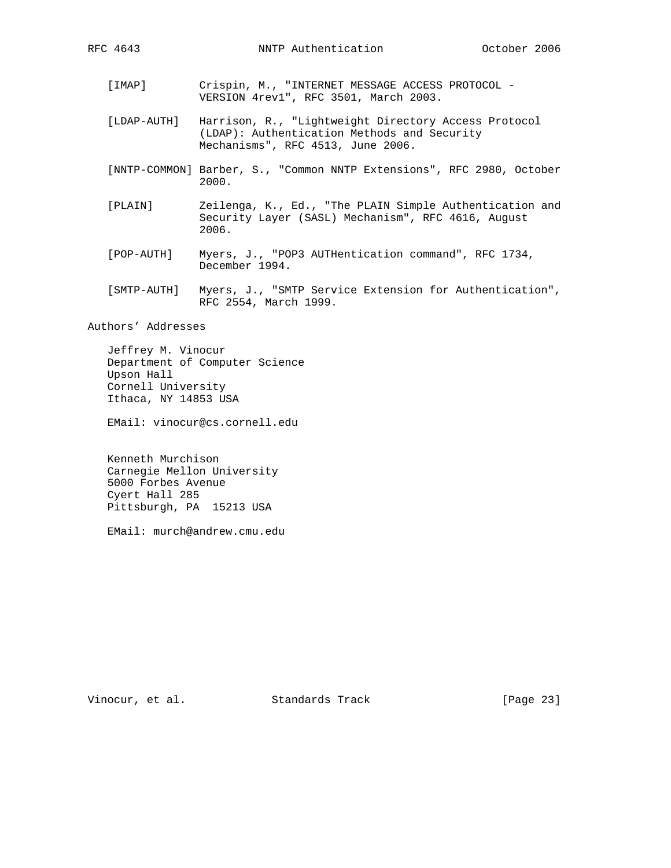- [IMAP] Crispin, M., "INTERNET MESSAGE ACCESS PROTOCOL -VERSION 4rev1", RFC 3501, March 2003.
- [LDAP-AUTH] Harrison, R., "Lightweight Directory Access Protocol (LDAP): Authentication Methods and Security Mechanisms", RFC 4513, June 2006.
- [NNTP-COMMON] Barber, S., "Common NNTP Extensions", RFC 2980, October 2000.
- [PLAIN] Zeilenga, K., Ed., "The PLAIN Simple Authentication and Security Layer (SASL) Mechanism", RFC 4616, August 2006.
- [POP-AUTH] Myers, J., "POP3 AUTHentication command", RFC 1734, December 1994.
- [SMTP-AUTH] Myers, J., "SMTP Service Extension for Authentication", RFC 2554, March 1999.

Authors' Addresses

 Jeffrey M. Vinocur Department of Computer Science Upson Hall Cornell University Ithaca, NY 14853 USA

EMail: vinocur@cs.cornell.edu

 Kenneth Murchison Carnegie Mellon University 5000 Forbes Avenue Cyert Hall 285 Pittsburgh, PA 15213 USA

EMail: murch@andrew.cmu.edu

Vinocur, et al. Standards Track [Page 23]